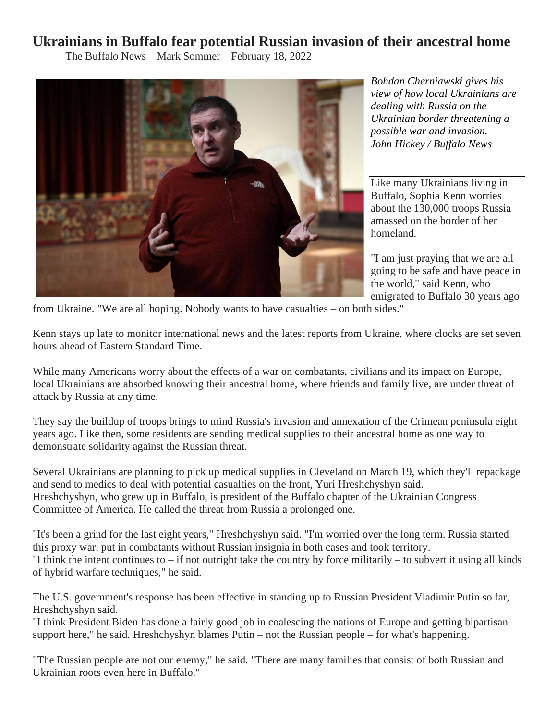## **Ukrainians in Buffalo fear potential Russian invasion of their ancestral home**

The Buffalo News – Mark Sommer – February 18, 2022



*Bohdan Cherniawski gives his view of how local Ukrainians are dealing with Russia on the Ukrainian border threatening a possible war and invasion. John Hickey / Buffalo News*

Like many Ukrainians living in Buffalo, Sophia Kenn worries about the 130,000 troops Russia amassed on the border of her homeland.

"I am just praying that we are all going to be safe and have peace in the world," said Kenn, who emigrated to Buffalo 30 years ago

from Ukraine. "We are all hoping. Nobody wants to have casualties – on both sides."

Kenn stays up late to monitor international news and the latest reports from Ukraine, where clocks are set seven hours ahead of Eastern Standard Time.

While many Americans worry about the effects of a war on combatants, civilians and its impact on Europe, local Ukrainians are absorbed knowing their ancestral home, where friends and family live, are under threat of attack by Russia at any time.

They say the buildup of troops brings to mind Russia's invasion and annexation of the Crimean peninsula eight years ago. Like then, some residents are sending medical supplies to their ancestral home as one way to demonstrate solidarity against the Russian threat.

Several Ukrainians are planning to pick up medical supplies in Cleveland on March 19, which they'll repackage and send to medics to deal with potential casualties on the front, Yuri Hreshchyshyn said. Hreshchyshyn, who grew up in Buffalo, is president of the Buffalo chapter of the Ukrainian Congress Committee of America. He called the threat from Russia a prolonged one.

"It's been a grind for the last eight years," Hreshchyshyn said. "I'm worried over the long term. Russia started this proxy war, put in combatants without Russian insignia in both cases and took territory. "I think the intent continues to – if not outright take the country by force militarily – to subvert it using all kinds of hybrid warfare techniques," he said.

The U.S. government's response has been effective in standing up to Russian President Vladimir Putin so far, Hreshchyshyn said.

"I think President Biden has done a fairly good job in coalescing the nations of Europe and getting bipartisan support here," he said. Hreshchyshyn blames Putin – not the Russian people – for what's happening.

"The Russian people are not our enemy," he said. "There are many families that consist of both Russian and Ukrainian roots even here in Buffalo."